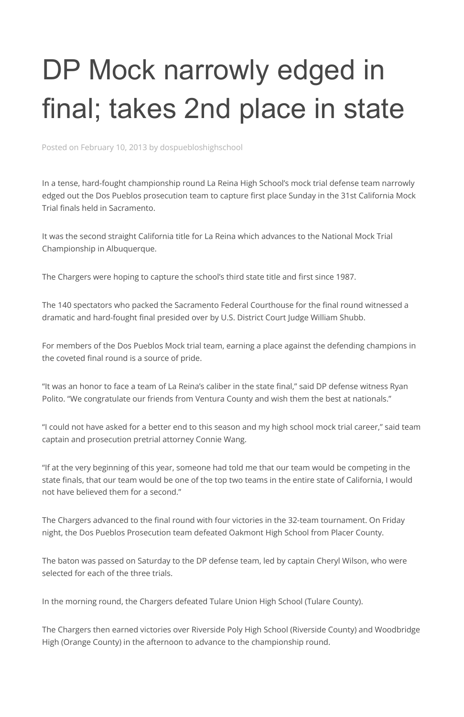## DP Mock narrowly edged in final; takes 2nd place in state

Posted on February 10, 2013 by dospuebloshighschool

In a tense, hard-fought championship round La Reina High School's mock trial defense team narrowly edged out the Dos Pueblos prosecution team to capture first place Sunday in the 31st California Mock Trial finals held in Sacramento.

It was the second straight California title for La Reina which advances to the National Mock Trial Championship in Albuquerque.

The Chargers were hoping to capture the school's third state title and first since 1987.

The 140 spectators who packed the Sacramento Federal Courthouse for the final round witnessed a dramatic and hard-fought final presided over by U.S. District Court Judge William Shubb.

For members of the Dos Pueblos Mock trial team, earning a place against the defending champions in the coveted final round is a source of pride.

"It was an honor to face a team of La Reina's caliber in the state final," said DP defense witness Ryan Polito. "We congratulate our friends from Ventura County and wish them the best at nationals."

"I could not have asked for a better end to this season and my high school mock trial career," said team captain and prosecution pretrial attorney Connie Wang.

"If at the very beginning of this year, someone had told me that our team would be competing in the state finals, that our team would be one of the top two teams in the entire state of California, I would not have believed them for a second."

The Chargers advanced to the final round with four victories in the 32-team tournament. On Friday

night, the Dos Pueblos Prosecution team defeated Oakmont High School from Placer County.

The baton was passed on Saturday to the DP defense team, led by captain Cheryl Wilson, who were selected for each of the three trials.

In the morning round, the Chargers defeated Tulare Union High School (Tulare County).

The Chargers then earned victories over Riverside Poly High School (Riverside County) and Woodbridge High (Orange County) in the afternoon to advance to the championship round.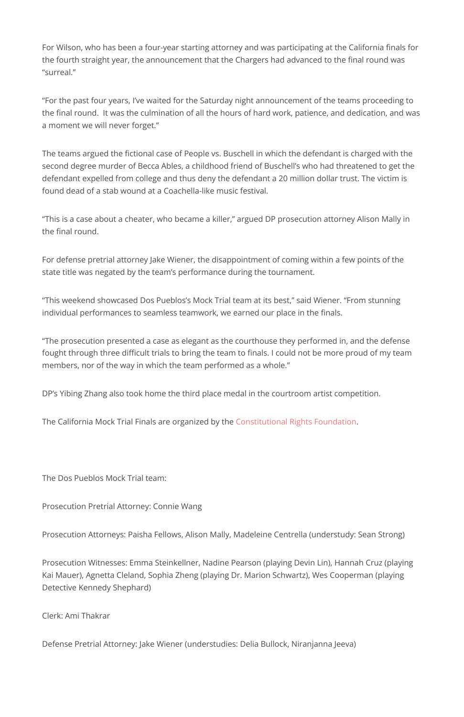For Wilson, who has been a four-year starting attorney and was participating at the California finals for the fourth straight year, the announcement that the Chargers had advanced to the final round was "surreal."

"For the past four years, I've waited for the Saturday night announcement of the teams proceeding to the final round. It was the culmination of all the hours of hard work, patience, and dedication, and was a moment we will never forget."

The teams argued the fictional case of People vs. Buschell in which the defendant is charged with the second degree murder of Becca Ables, a childhood friend of Buschell's who had threatened to get the defendant expelled from college and thus deny the defendant a 20 million dollar trust. The victim is found dead of a stab wound at a Coachella-like music festival.

"This is a case about a cheater, who became a killer," argued DP prosecution attorney Alison Mally in the final round.

For defense pretrial attorney Jake Wiener, the disappointment of coming within a few points of the state title was negated by the team's performance during the tournament.

"This weekend showcased Dos Pueblos's Mock Trial team at its best," said Wiener. "From stunning individual performances to seamless teamwork, we earned our place in the finals.

"The prosecution presented a case as elegant as the courthouse they performed in, and the defense fought through three difficult trials to bring the team to finals. I could not be more proud of my team members, nor of the way in which the team performed as a whole."

DP's Yibing Zhang also took home the third place medal in the courtroom artist competition.

The California Mock Trial Finals are organized by the [Constitutional Rights Foundation.](https://www.crf-usa.org/mock-trial-program/mock-trial-program.html)

The Dos Pueblos Mock Trial team:

Prosecution Pretrial Attorney: Connie Wang

Prosecution Attorneys: Paisha Fellows, Alison Mally, Madeleine Centrella (understudy: Sean Strong)

Prosecution Witnesses: Emma Steinkellner, Nadine Pearson (playing Devin Lin), Hannah Cruz (playing Kai Mauer), Agnetta Cleland, Sophia Zheng (playing Dr. Marion Schwartz), Wes Cooperman (playing Detective Kennedy Shephard)

Clerk: Ami Thakrar

Defense Pretrial Attorney: Jake Wiener (understudies: Delia Bullock, Niranjanna Jeeva)